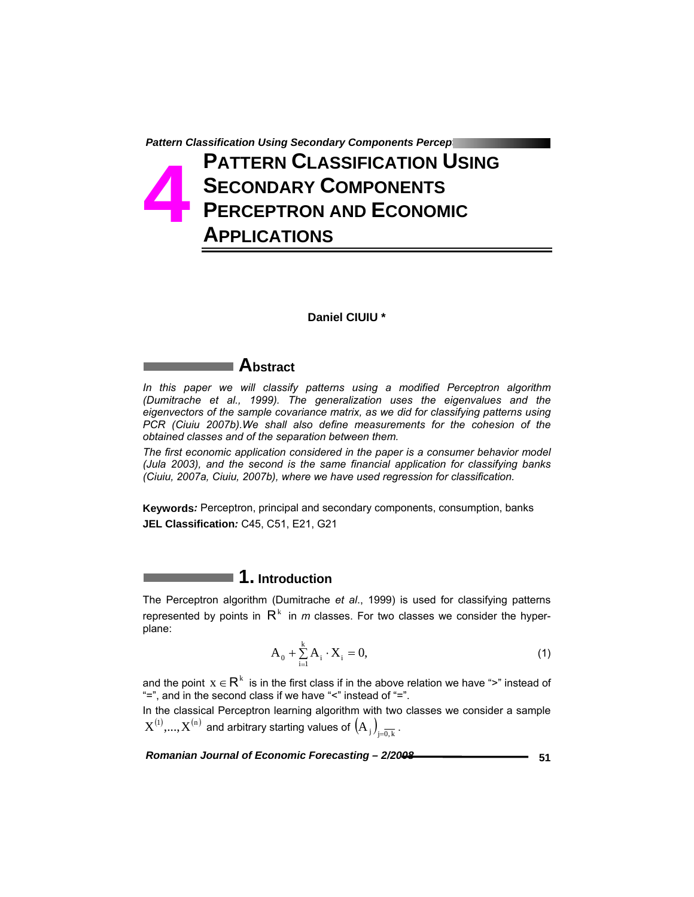# **Pattern Classification Using Secondary Components Perceptron PATTERN CLASSIFICATION USING SECONDARY COMPONENTS PERCEPTRON AND ECONOMIC APPLICATIONS 4**

### **Daniel CIUIU \***

## **Abstract**

*In this paper we will classify patterns using a modified Perceptron algorithm (Dumitrache et al., 1999). The generalization uses the eigenvalues and the eigenvectors of the sample covariance matrix, as we did for classifying patterns using PCR (Ciuiu 2007b).We shall also define measurements for the cohesion of the obtained classes and of the separation between them.* 

*The first economic application considered in the paper is a consumer behavior model (Jula 2003), and the second is the same financial application for classifying banks (Ciuiu, 2007a, Ciuiu, 2007b), where we have used regression for classification.* 

**Keywords***:* Perceptron, principal and secondary components, consumption, banks **JEL Classification***:* C45, C51, E21, G21

## **1. Introduction**

The Perceptron algorithm (Dumitrache *et al*., 1999) is used for classifying patterns represented by points in  $R<sup>k</sup>$  in *m* classes. For two classes we consider the hyperplane:

$$
A_0 + \sum_{i=1}^{k} A_i \cdot X_i = 0,
$$
 (1)

and the point  $x \in R^k$  is in the first class if in the above relation we have ">" instead of "=", and in the second class if we have "<" instead of "=".

In the classical Perceptron learning algorithm with two classes we consider a sample  $\rm X^{(1)}, ..., X^{(n)}$  and arbitrary starting values of  $\left( {\rm A}{}_j \right)_{j=\overline{0,k}}$  .

*Romanian Journal of Economic Forecasting – 2/2008 CONDUCTREE 151*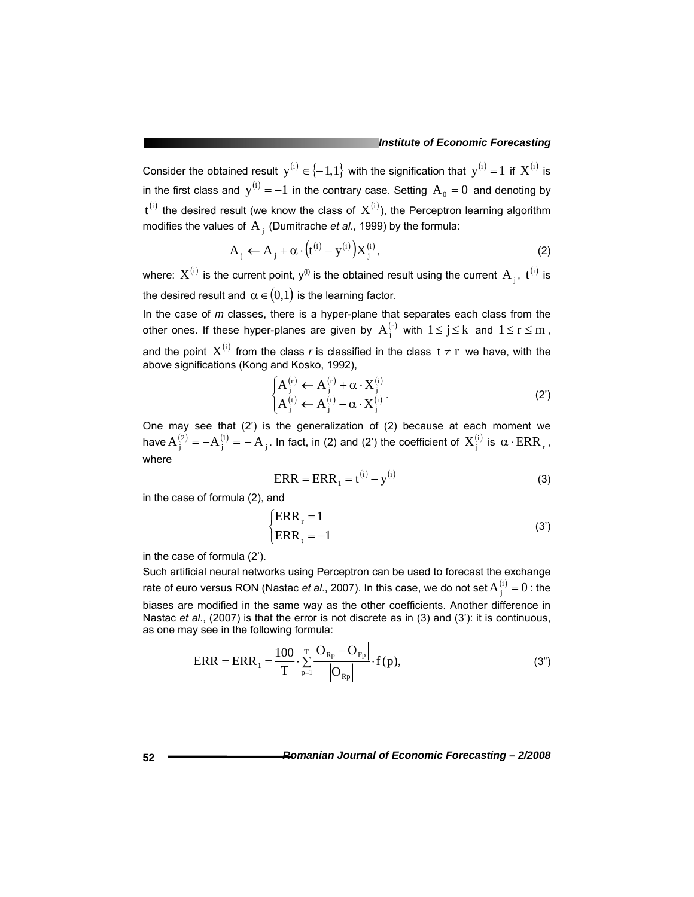Consider the obtained result  $y^{(i)} \in \{-1,1\}$  with the signification that  $y^{(i)} = 1$  if  $X^{(i)}$  is in the first class and  $y^{(i)} = -1$  in the contrary case. Setting  $A_0 = 0$  and denoting by  $t^{(i)}$  the desired result (we know the class of  $X^{(i)}$ ), the Perceptron learning algorithm modifies the values of A<sub>i</sub> (Dumitrache *et al.*, 1999) by the formula:

$$
A_j \leftarrow A_j + \alpha \cdot (t^{(i)} - y^{(i)}) X_j^{(i)}, \tag{2}
$$

where:  $X^{(i)}$  is the current point, y<sup>(i)</sup> is the obtained result using the current A<sub>i</sub>, t<sup>(i)</sup> is the desired result and  $\alpha \in (0,1)$  is the learning factor.

In the case of *m* classes, there is a hyper-plane that separates each class from the other ones. If these hyper-planes are given by  $A_i^{(r)}$  with  $1 \le j \le k$  and  $1 \le r \le m$ , and the point  $X^{(i)}$  from the class *r* is classified in the class  $t \neq r$  we have, with the above significations (Kong and Kosko, 1992),

$$
\begin{cases} A_j^{(r)} \leftarrow A_j^{(r)} + \alpha \cdot X_j^{(i)} \\ A_j^{(t)} \leftarrow A_j^{(t)} - \alpha \cdot X_j^{(i)} \end{cases} \tag{2'}
$$

One may see that (2') is the generalization of (2) because at each moment we have  $A_j^{(2)} = -A_j^{(1)} = -A_j$  . In fact, in (2) and (2') the coefficient of  $X_j^{(i)}$  is  $\alpha \cdot \mathrm{ERR}_r$  , where

$$
ERR = ERR_1 = t^{(i)} - y^{(i)}
$$
 (3)

in the case of formula (2), and

$$
\begin{cases}\n\text{ERR}_r = 1\\ \text{ERR}_t = -1\n\end{cases}
$$
\n(3')

in the case of formula (2').

Such artificial neural networks using Perceptron can be used to forecast the exchange rate of euro versus RON (Nastac *et al.*, 2007). In this case, we do not set  $A_j^{(i)} = 0$  : the biases are modified in the same way as the other coefficients. Another difference in Nastac *et al.*, (2007) is that the error is not discrete as in (3) and (3'): it is continuous, as one may see in the following formula:

$$
ERR = ERR_1 = \frac{100}{T} \cdot \sum_{p=1}^{T} \frac{|O_{Rp} - O_{Fp}|}{|O_{Rp}|} \cdot f(p),
$$
 (3")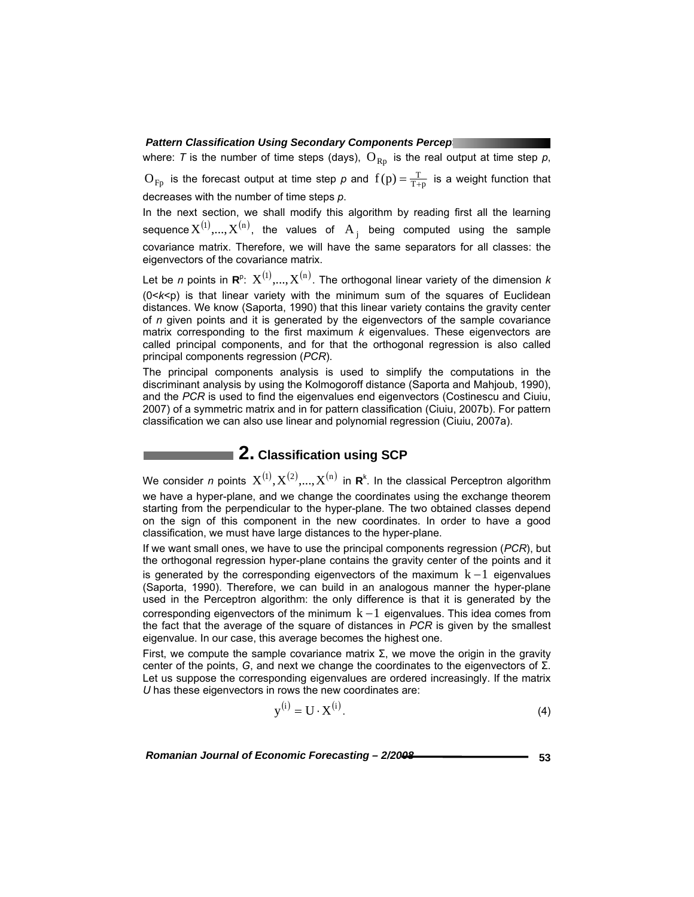where: *T* is the number of time steps (days),  $O_{Rp}$  is the real output at time step  $p$ ,  $O_{Fp}$  is the forecast output at time step  $p$  and  $f(p) = \frac{T}{T+p}$  is a weight function that decreases with the number of time steps *p*.

In the next section, we shall modify this algorithm by reading first all the learning sequence  $X^{(1)}$ ,..., $X^{(n)}$ , the values of  $A_i$  being computed using the sample covariance matrix. Therefore, we will have the same separators for all classes: the eigenvectors of the covariance matrix.

Let be *n* points in  $\mathbf{R}^p$ :  $X^{(1)},...,X^{(n)}$ . The orthogonal linear variety of the dimension  $k$ (0<*k*<p) is that linear variety with the minimum sum of the squares of Euclidean distances. We know (Saporta, 1990) that this linear variety contains the gravity center of *n* given points and it is generated by the eigenvectors of the sample covariance matrix corresponding to the first maximum *k* eigenvalues. These eigenvectors are called principal components, and for that the orthogonal regression is also called principal components regression (*PCR*).

The principal components analysis is used to simplify the computations in the discriminant analysis by using the Kolmogoroff distance (Saporta and Mahjoub, 1990), and the *PCR* is used to find the eigenvalues end eigenvectors (Costinescu and Ciuiu, 2007) of a symmetric matrix and in for pattern classification (Ciuiu, 2007b). For pattern classification we can also use linear and polynomial regression (Ciuiu, 2007a).

## ■ 2. Classification using SCP

We consider *n* points  $X^{(1)}, X^{(2)},...,X^{(n)}$  in  $\mathbf{R}^k$ . In the classical Perceptron algorithm we have a hyper-plane, and we change the coordinates using the exchange theorem starting from the perpendicular to the hyper-plane. The two obtained classes depend on the sign of this component in the new coordinates. In order to have a good classification, we must have large distances to the hyper-plane.

If we want small ones, we have to use the principal components regression (*PCR*), but the orthogonal regression hyper-plane contains the gravity center of the points and it is generated by the corresponding eigenvectors of the maximum  $k - 1$  eigenvalues (Saporta, 1990). Therefore, we can build in an analogous manner the hyper-plane used in the Perceptron algorithm: the only difference is that it is generated by the corresponding eigenvectors of the minimum  $k - 1$  eigenvalues. This idea comes from the fact that the average of the square of distances in *PCR* is given by the smallest eigenvalue. In our case, this average becomes the highest one.

First, we compute the sample covariance matrix  $\Sigma$ , we move the origin in the gravity center of the points, *G*, and next we change the coordinates to the eigenvectors of Σ. Let us suppose the corresponding eigenvalues are ordered increasingly. If the matrix *U* has these eigenvectors in rows the new coordinates are:

 $y^{(i)} = U \cdot X^{(i)}$  (4)

Romanian Journal of Economic Forecasting -  $2/2008$  **Conservation Conservation Conservation** 53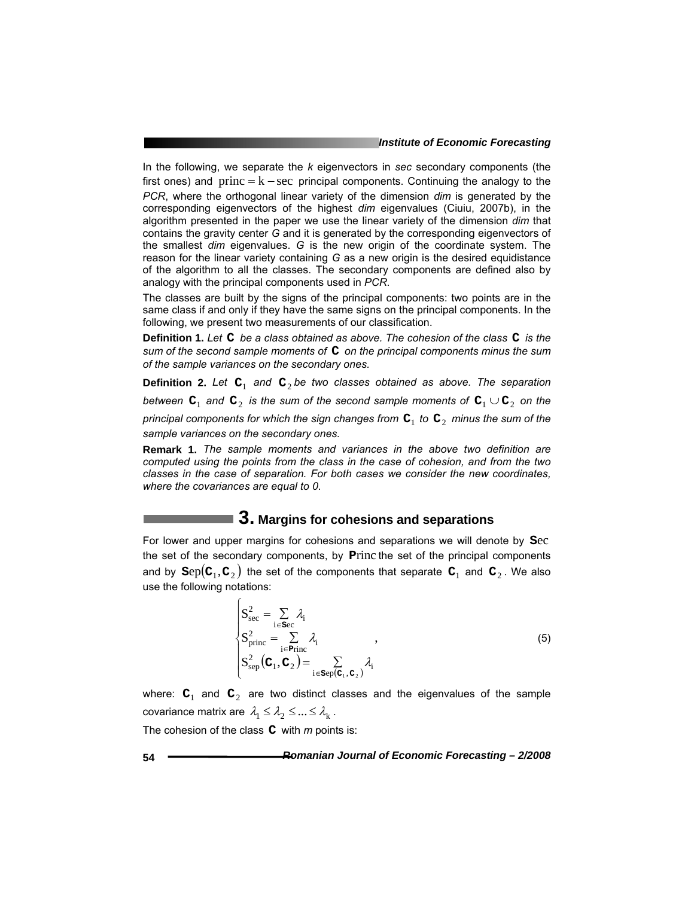#### *Institute of Economic Forecasting*

In the following, we separate the *k* eigenvectors in *sec* secondary components (the first ones) and  $princ = k - sec$  principal components. Continuing the analogy to the *PCR*, where the orthogonal linear variety of the dimension *dim* is generated by the corresponding eigenvectors of the highest *dim* eigenvalues (Ciuiu, 2007b), in the algorithm presented in the paper we use the linear variety of the dimension *dim* that contains the gravity center *G* and it is generated by the corresponding eigenvectors of the smallest *dim* eigenvalues. *G* is the new origin of the coordinate system. The reason for the linear variety containing *G* as a new origin is the desired equidistance of the algorithm to all the classes. The secondary components are defined also by analogy with the principal components used in *PCR*.

The classes are built by the signs of the principal components: two points are in the same class if and only if they have the same signs on the principal components. In the following, we present two measurements of our classification.

**Definition 1.** *Let* **C** *be a class obtained as above. The cohesion of the class* **C** *is the sum of the second sample moments of* **C** *on the principal components minus the sum of the sample variances on the secondary ones.* 

**Definition 2.** Let  $C_1$  and  $C_2$  be two classes obtained as above. The separation *between*  $\mathbf{C}_1$  and  $\mathbf{C}_2$  is the sum of the second sample moments of  $\mathbf{C}_1 \cup \mathbf{C}_2$  on the *principal components for which the sign changes from*  $C_1$  to  $C_2$  minus the sum of the *sample variances on the secondary ones.* 

**Remark 1.** *The sample moments and variances in the above two definition are computed using the points from the class in the case of cohesion, and from the two classes in the case of separation. For both cases we consider the new coordinates, where the covariances are equal to 0*.

### **3. Margins for cohesions and separations**

For lower and upper margins for cohesions and separations we will denote by **S**ec the set of the secondary components, by **P**rinc the set of the principal components and by  $\text{Sep}(C_1, C_2)$  the set of the components that separate  $C_1$  and  $C_2$ . We also use the following notations:

$$
\begin{cases}\nS_{\text{sec}}^2 = \sum_{i \in \text{sec}} \lambda_i \\
S_{\text{princ}}^2 = \sum_{i \in \text{Princ}} \lambda_i \\
S_{\text{sep}}^2(\mathbf{C}_1, \mathbf{C}_2) = \sum_{i \in \text{sep}(\mathbf{C}_1, \mathbf{C}_2)} \lambda_i\n\end{cases}
$$
\n(5)

where:  $C_1$  and  $C_2$  are two distinct classes and the eigenvalues of the sample covariance matrix are  $\lambda_1 \leq \lambda_2 \leq ... \leq \lambda_k$ .

The cohesion of the class **C** with *m* points is: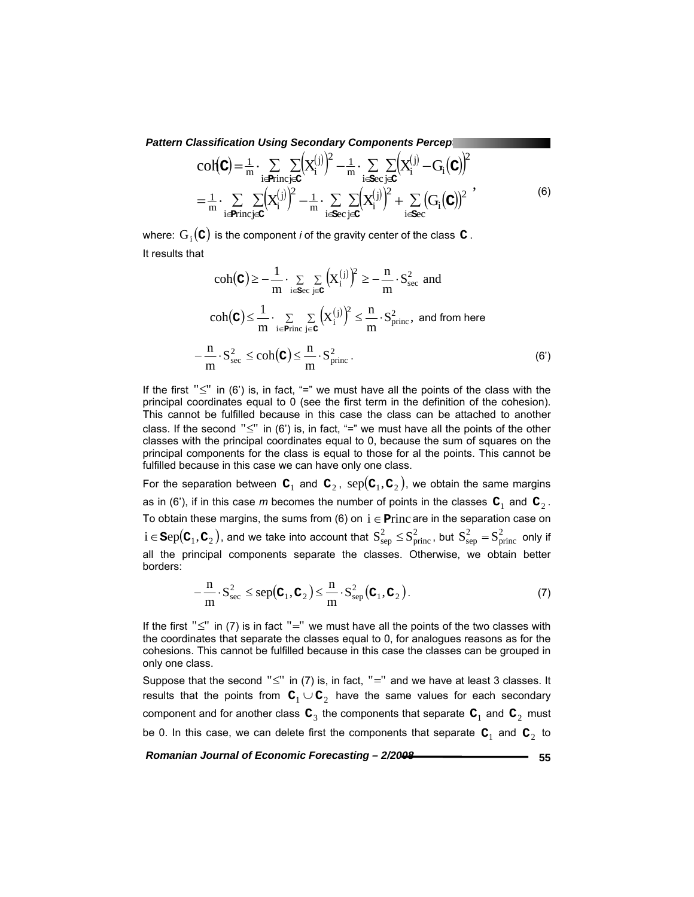$$
col(c) = \frac{1}{m} \cdot \sum_{i \in \text{Princj} \in C} \left[ X_i^{(j)} \right]^2 - \frac{1}{m} \cdot \sum_{i \in \text{Sec}} \sum_{j \in C} \left( X_i^{(j)} - G_i(c) \right)^2
$$

$$
= \frac{1}{m} \cdot \sum_{i \in \text{Princj} \in C} \sum_{i \in C} \left( X_i^{(j)} \right)^2 - \frac{1}{m} \cdot \sum_{i \in \text{Sec}} \sum_{j \in C} \left( X_i^{(j)} \right)^2 + \sum_{i \in \text{Sec}} \left( G_i(c) \right)^2,
$$
(6)

where:  $G_i(\mathbf{C})$  is the component *i* of the gravity center of the class  $\mathbf{C}$ . It results that

$$
\operatorname{coh}(\mathbf{C}) \ge -\frac{1}{m} \cdot \sum_{i \in \mathbf{S}^c} \sum_{j \in \mathbf{C}} \left( X_i^{(j)} \right)^2 \ge -\frac{n}{m} \cdot S_{\text{sec}}^2 \text{ and}
$$

$$
\operatorname{coh}(\mathbf{C}) \le \frac{1}{m} \cdot \sum_{i \in \text{Princ}} \sum_{j \in \mathbf{C}} \left( X_i^{(j)} \right)^2 \le \frac{n}{m} \cdot S_{\text{princ}}^2, \text{ and from here}
$$

$$
-\frac{n}{m} \cdot S_{\text{sec}}^2 \le \operatorname{coh}(\mathbf{C}) \le \frac{n}{m} \cdot S_{\text{princ}}^2. \tag{6'}
$$

If the first " $\leq$ " in (6') is, in fact, "=" we must have all the points of the class with the principal coordinates equal to 0 (see the first term in the definition of the cohesion). This cannot be fulfilled because in this case the class can be attached to another class. If the second " $\leq$ " in (6') is, in fact, "=" we must have all the points of the other classes with the principal coordinates equal to 0, because the sum of squares on the principal components for the class is equal to those for al the points. This cannot be fulfilled because in this case we can have only one class.

For the separation between  $\mathbf{C}_1$  and  $\mathbf{C}_2$ ,  $\text{sep}(\mathbf{C}_1, \mathbf{C}_2)$ , we obtain the same margins as in (6'), if in this case *m* becomes the number of points in the classes  $C_1$  and  $C_2$ . To obtain these margins, the sums from (6) on  $i \in$  **Princ are in the separation case on**  $i\in\texttt{Sep}(\textbf{C}_1,\textbf{C}_2)$ , and we take into account that  $\text{S}^2_{\text{sep}}\leq\text{S}^2_{\text{princ}}$ , but  $\text{S}^2_{\text{sep}}=\text{S}^2_{\text{princ}}$  only if all the principal components separate the classes. Otherwise, we obtain better borders:

$$
-\frac{n}{m} \cdot S_{\text{sec}}^2 \le \text{sep}(\mathbf{C}_1, \mathbf{C}_2) \le \frac{n}{m} \cdot S_{\text{sep}}^2(\mathbf{C}_1, \mathbf{C}_2).
$$
 (7)

If the first " $\leq$ " in (7) is in fact "=" we must have all the points of the two classes with the coordinates that separate the classes equal to 0, for analogues reasons as for the cohesions. This cannot be fulfilled because in this case the classes can be grouped in only one class.

Suppose that the second " $\leq$ " in (7) is, in fact, "=" and we have at least 3 classes. It results that the points from  $C_1 \cup C_2$  have the same values for each secondary component and for another class  $\mathbf{C}_3$  the components that separate  $\mathbf{C}_1$  and  $\mathbf{C}_2$  must be 0. In this case, we can delete first the components that separate  $C_1$  and  $C_2$  to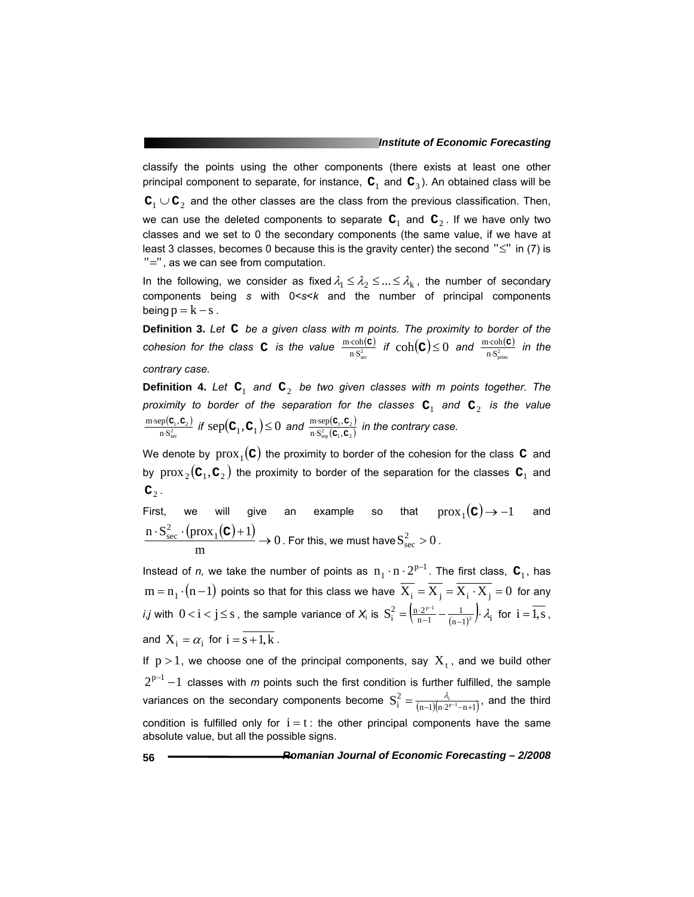classify the points using the other components (there exists at least one other principal component to separate, for instance,  $C_1$  and  $C_3$ ). An obtained class will be **C**<sup>1</sup> ∪ **C**2 and the other classes are the class from the previous classification. Then, we can use the deleted components to separate  $C_1$  and  $C_2$ . If we have only two classes and we set to 0 the secondary components (the same value, if we have at least 3 classes, becomes 0 because this is the gravity center) the second " $\leq$ " in (7) is "=", as we can see from computation.

In the following, we consider as fixed  $\lambda_1 \leq \lambda_2 \leq ... \leq \lambda_k$ , the number of secondary components being *s* with 0<*s*<*k* and the number of principal components being  $p = k - s$ .

**Definition 3.** *Let* **C** *be a given class with m points. The proximity to border of the*   $\frac{\text{cohesion for the class } \mathbf{C} \text{ is the value } \frac{\text{m-coh}(\mathbf{C})}{\text{n} \cdot \mathbf{S}_{\text{sec}}^2}$  $\frac{\text{coh}(\mathbf{C})}{\text{n} \cdot \mathbf{S}_{\text{sec}}^2}$  if  $\text{coh}(\mathbf{C}) \leq 0$  and  $\frac{\text{m}\cdot\text{coh}(\mathbf{C})}{\text{n} \cdot \mathbf{S}_{\text{princ}}^2}$ m coh  $\frac{\cosh(\mathbf{c})}{\sinh(\mathbf{c})}$  in the *contrary case.* 

**Definition 4.** *Let* **C**1 *and* **C**2 *be two given classes with m points together. The proximity to border of the separation for the classes*  $C_1$  and  $C_2$  *is the value*  $\frac{\left( {\mathbf{c}_{\text{\tiny 1}}^{\mathstrut}}, {\mathbf{c}_{\text{\tiny 2}}} \right)}{{\color{red} S_{\text{sec}}^2}}$  $rac{P(C_1, C_2)}{P(S_{\text{rec}}^2)}$  $m$ ·sep $({\bf C}_1,$  $\frac{\text{cusp}(\mathbf{C}_1, \mathbf{C}_2)}{\text{n} \cdot \mathbf{S}_{\text{sec}}^2}$  if  $\text{sep}(\mathbf{C}_1, \mathbf{C}_1) \leq 0$  and  $\frac{\text{m-sep}(\mathbf{C}_1, \mathbf{C}_2)}{\text{n} \cdot \mathbf{S}_{\text{sec}}^2(\mathbf{C}_1, \mathbf{C}_2)}$  $\frac{\text{msep}(\text{C}_1, \text{C}_2)}{\text{n} \cdot \text{S}_{\text{sen}}^2(\text{C}_1, \text{C}_2)}$  $m$ ·sep $({\bf C}_1,$  $\mathbf{C}_1, \mathbf{C}$  $\mathbf{C}_1, \mathbf{C}$  $\frac{\text{a} \cdot \text{sep}(\textbf{C}_{1}, \textbf{C}_{2})}{\text{S}_{\text{sen}}^{2}(\textbf{C}_{1}, \textbf{C}_{2})}$  in the contrary case.

We denote by  $prox_1(c)$  the proximity to border of the cohesion for the class  $c$  and by  $prox_2(c_1, c_2)$  the proximity to border of the separation for the classes  $c_1$  and  $\mathbf{C}_2$ .

First, we will give an example so that  $prox_1(c) \rightarrow -1$  and  $\frac{\text{(prox}_1(c) + 1)}{\text{pos}_1(c)}$   $\to 0$ m  $\frac{n \cdot S_{\text{sec}}^2 \cdot (\text{prox}_1(\mathbf{C}) + 1)}{n} \to 0$ . For this, we must have  $S_{\text{sec}}^2 > 0$ .

Instead of *n*, we take the number of points as  $n_1 \cdot n \cdot 2^{p-1}$ . The first class,  $C_1$ , has  $m = n_1 \cdot (n - 1)$  points so that for this class we have  $\overline{X_i} = \overline{X_i} = \overline{X_i \cdot X_j} = 0$  for any *i*,*j* with  $0 < i < j \le s$  , the sample variance of  $X_i$  is  $S_i^2 = \left(\frac{n \cdot 2^{p-1}}{n-1} - \frac{1}{(n-1)^2}\right) \cdot \lambda_i$  $n-1$  $S_i^2 = \left(\frac{n \cdot 2^{p-1}}{n-1} - \frac{1}{(n-1)^2}\right) \cdot \lambda_i$  for  $i = \overline{1, s}$ , and  $X_i = \alpha_i$  for  $i = s+1, k$ .

If  $p > 1$ , we choose one of the principal components, say  $X_t$ , and we build other  $2^{p-1} - 1$  classes with *m* points such the first condition is further fulfilled, the sample variances on the secondary components become  $S_i^2 = \frac{\lambda_i}{(n-1)(n \cdot 2^{p-1} - n+1)}$ , and the third condition is fulfilled only for  $i = t$ : the other principal components have the same absolute value, but all the possible signs.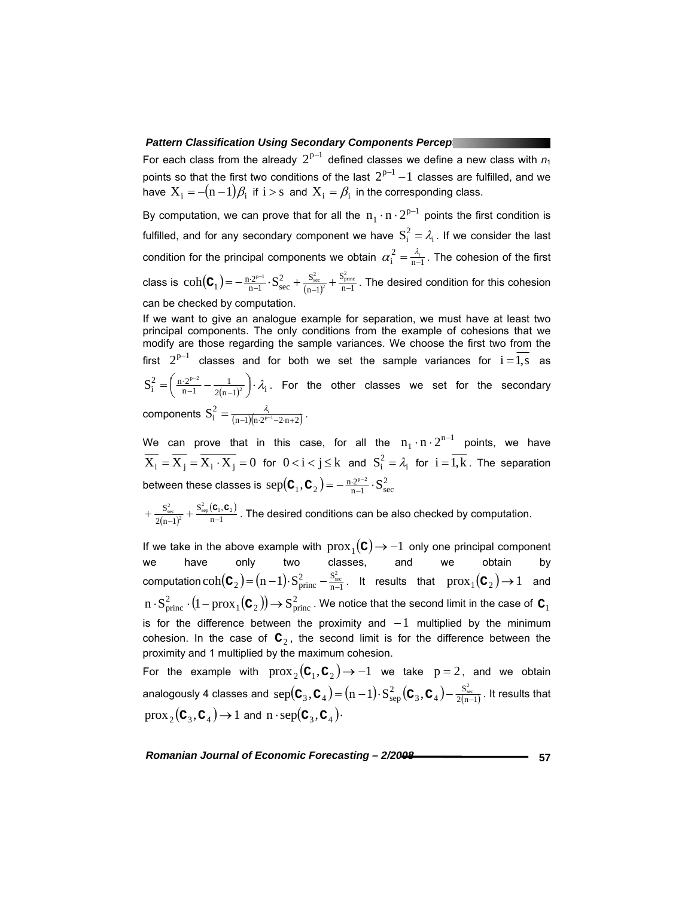For each class from the already  $2^{p-1}$  defined classes we define a new class with  $n_1$ points so that the first two conditions of the last  $2^{p-1} - 1$  classes are fulfilled, and we have  $X_i = -(n-1)\beta_i$  if  $i > s$  and  $X_i = \beta_i$  in the corresponding class.

By computation, we can prove that for all the  $n_1 \cdot n \cdot 2^{p-1}$  points the first condition is fulfilled, and for any secondary component we have  $S_i^2 = \lambda_i$ . If we consider the last condition for the principal components we obtain  $\alpha_i^2 = \frac{\lambda_i}{n-1}$ . The cohesion of the first class is  $\mathrm{coh}(\mathbf C_1)$   $=$   $- \frac{{\rm n}\cdot 2^{p-1}}{\rm n-1}\cdot \mathrm{S}^2_{\rm sec} + \frac{{\rm S}_{\rm sec}^2}{\rm (n-1)^2} + \frac{{\rm S}_{\rm princ}^2}{\rm n-1}$  $n-1$  $S_{1} = -\frac{n \cdot 2^{p-1}}{n-1} \cdot S_{\text{sec}}^2 + \frac{S}{(n-1)}$  $\frac{S_{\text{princ}}^2}{n-1}$  $\coh(\textbf{C}_1)$  =  $-\frac{n \cdot 2^{p-1}}{n-1} \cdot S_{\text{sec}}^2 + \frac{S_{\text{sec}}^2}{(n-1)^2} + \frac{S_{\text{princ}}^2}{n-1}$ . The desired condition for this cohesion can be checked by computation.

If we want to give an analogue example for separation, we must have at least two principal components. The only conditions from the example of cohesions that we modify are those regarding the sample variances. We choose the first two from the first  $2^{p-1}$  classes and for both we set the sample variances for  $i = \overline{1,s}$  as  $\frac{1}{2(n-1)^2}$ .  $\lambda_i$  $n-1$  $\frac{2}{i} = \left( \frac{n \cdot 2^{p-2}}{n-1} - \frac{1}{2(n-1)^2} \right)$  $S_i^2 = \left(\frac{n \cdot 2^{p-2}}{n-1} - \frac{1}{2(n-1)^2}\right) \cdot \lambda_i$ . For the other classes we set for the secondary components  $S_i^2 = \frac{\lambda_i}{(n-1)(n \cdot 2^{p-1}-2 \cdot n+2)}$ .

We can prove that in this case, for all the  $n_1 \cdot n \cdot 2^{n-1}$  points, we have  $\overline{X_i} = \overline{X_j} = \overline{X_i \cdot X_j} = 0$  for  $0 < i < j \le k$  and  $S_i^2 = \lambda_i$  for  $i = \overline{1,k}$ . The separation between these classes is  $\text{sep}(\mathbf{C}_1, \mathbf{C}_2) = -\frac{\mathbf{n} \cdot 2^{p-2}}{\mathbf{n} - 1} \cdot \mathbf{S}_{\text{sec}}^2$ 

$$
+\frac{S_{\text{sec}}^2}{2(n-1)^2} + \frac{S_{\text{sep}}^2(c_1, c_2)}{n-1}
$$
. The desired conditions can be also checked by computation.

If we take in the above example with  $prox_1$  (**C**) → −1 only one principal component we be have obtain by we have only two classes, and we obtain by computation  $\mathrm{coh}(\mathbf C_2)$   $\mathrm{=(n-1)\cdot S_{princ}^2-\frac{S^2_{\mathrm{sec}}}{n-1}}$  $\coh(\textbf{C}_2) = (n-1) \cdot S_{\text{princ}}^2 - \frac{S_{\text{sec}}^2}{n-1}$ . It results that  $\mathrm{prox}_1(\textbf{C}_2) \rightarrow 1$  and  $n\cdot {\rm S}_{\rm princ}^2\cdot (1-\rm prox_1({\bf C}_2))\rightarrow {\rm S}_{\rm princ}^2$  . We notice that the second limit in the case of  ${\bf C}_1$ is for the difference between the proximity and  $-1$  multiplied by the minimum cohesion. In the case of  $C_2$ , the second limit is for the difference between the proximity and 1 multiplied by the maximum cohesion. For the example with  $prox_2(c_1, c_2) \rightarrow -1$  we take  $p = 2$ , and we obtain

analogously 4 classes and  ${\rm sep}(\mathbf C_3, \mathbf C_4)$   $=$   $(n-1) \cdot S^2_{\rm sep}(\mathbf C_3, \mathbf C_4)$   $\frac{S^2_{\rm sec}}{2(n-1)}$  $S_3, C_4$  =  $(n-1) \cdot S_{\text{sep}}^2$  ( $C_3, C_4$  $\text{sep}(\mathbf{C}_3, \mathbf{C}_4) = (n-1) \cdot S^2_{\text{sep}}(\mathbf{C}_3, \mathbf{C}_4) - \frac{S^2_{\text{sec}}}{2(n-1)}$  . It results that  $prox_2$  (**C**<sub>3</sub>, **C**<sub>4</sub>)  $\rightarrow$  1 and n · sep(**C**<sub>3</sub>, **C**<sub>4</sub>) $\cdot$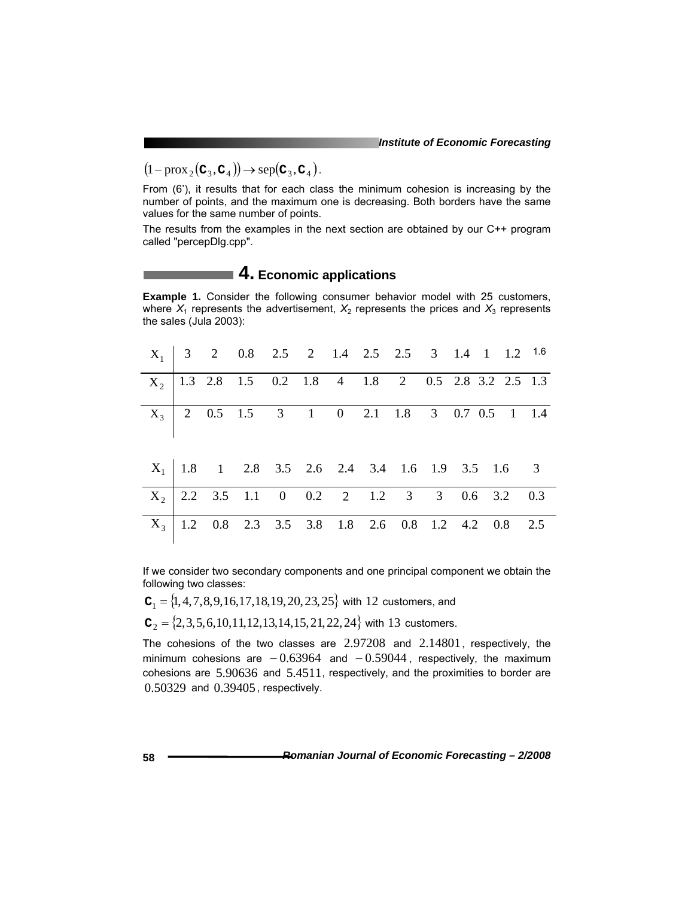$(1 - \text{prox}_2(c_3, c_4)) \rightarrow \text{sep}(c_3, c_4).$ 

From (6'), it results that for each class the minimum cohesion is increasing by the number of points, and the maximum one is decreasing. Both borders have the same values for the same number of points.

The results from the examples in the next section are obtained by our C++ program called "percepDlg.cpp".

# ■ 4. Economic applications

|                        |  |  |  |  |  | <b>Example 1.</b> Consider the following consumer behavior model with 25 customers,        |
|------------------------|--|--|--|--|--|--------------------------------------------------------------------------------------------|
|                        |  |  |  |  |  | where $X_1$ represents the advertisement, $X_2$ represents the prices and $X_3$ represents |
| the sales (Jula 2003): |  |  |  |  |  |                                                                                            |

|  |  |  |  |  | $X_1$ 3 2 0.8 2.5 2 1.4 2.5 2.5 3 1.4 1 1.2 1.6         |  |
|--|--|--|--|--|---------------------------------------------------------|--|
|  |  |  |  |  | $X_2$   1.3 2.8 1.5 0.2 1.8 4 1.8 2 0.5 2.8 3.2 2.5 1.3 |  |
|  |  |  |  |  | $X_3$   2 0.5 1.5 3 1 0 2.1 1.8 3 0.7 0.5 1 1.4         |  |
|  |  |  |  |  | $X_1$ 1.8 1 2.8 3.5 2.6 2.4 3.4 1.6 1.9 3.5 1.6 3       |  |
|  |  |  |  |  | $X_2$ 2.2 3.5 1.1 0 0.2 2 1.2 3 3 0.6 3.2 0.3           |  |
|  |  |  |  |  | $X_3$   1.2 0.8 2.3 3.5 3.8 1.8 2.6 0.8 1.2 4.2 0.8 2.5 |  |

If we consider two secondary components and one principal component we obtain the following two classes:

$$
C_1 = \{1, 4, 7, 8, 9, 16, 17, 18, 19, 20, 23, 25\}
$$
 with 12 customers, and

 ${\bf C}_2 = \{2,3,5,6,10,11,12,13,14,15,21,22,24\}$  with 13 customers.

The cohesions of the two classes are 2.97208 and 2.14801, respectively, the minimum cohesions are  $-0.63964$  and  $-0.59044$ , respectively, the maximum cohesions are 5.90636 and 5.4511, respectively, and the proximities to border are 0.50329 and 0.39405, respectively.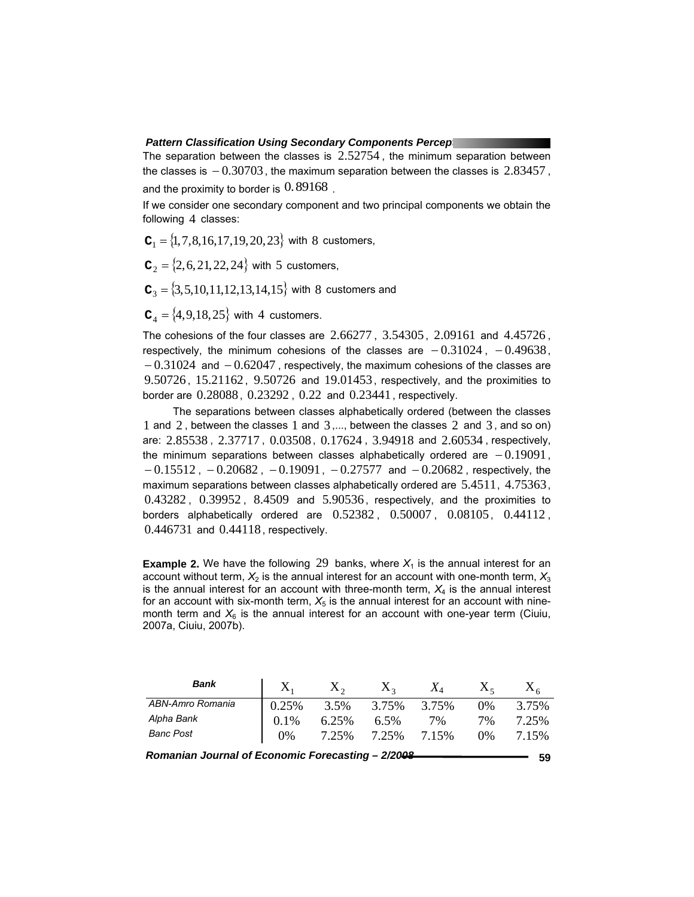The separation between the classes is  $2.52754$ , the minimum separation between the classes is  $-0.30703$ , the maximum separation between the classes is 2.83457, and the proximity to border is  $0.89168$ .

If we consider one secondary component and two principal components we obtain the following 4 classes:

 $C_1 = \{1, 7, 8, 16, 17, 19, 20, 23\}$  with 8 customers,

 ${\bf C}_2 = \{2,6,21,22,24\}$  with 5 customers,

 $C_3 = \{3, 5, 10, 11, 12, 13, 14, 15\}$  with 8 customers and

 $C_4 = \{4, 9, 18, 25\}$  with 4 customers.

The cohesions of the four classes are 2.66277 , 3.54305 , 2.09161 and 4.45726 , respectively, the minimum cohesions of the classes are  $-0.31024$ ,  $-0.49638$ ,  $-0.31024$  and  $-0.62047$ , respectively, the maximum cohesions of the classes are 9.50726 , 15.21162, 9.50726 and 19.01453, respectively, and the proximities to border are 0.28088, 0.23292 , 0.22 and 0.23441, respectively.

The separations between classes alphabetically ordered (between the classes 1 and 2 , between the classes 1 and 3 ,..., between the classes 2 and 3 , and so on) are: 2.85538 , 2.37717 , 0.03508, 0.17624 , 3.94918 and 2.60534 , respectively, the minimum separations between classes alphabetically ordered are  $-0.19091$ ,  $-0.15512$ ,  $-0.20682$ ,  $-0.19091$ ,  $-0.27577$  and  $-0.20682$ , respectively, the maximum separations between classes alphabetically ordered are 5.4511, 4.75363, 0.43282 , 0.39952 , 8.4509 and 5.90536 , respectively, and the proximities to borders alphabetically ordered are 0.52382 , 0.50007 , 0.08105, 0.44112 , 0.446731 and 0.44118, respectively.

**Example 2.** We have the following 29 banks, where  $X_1$  is the annual interest for an account without term,  $X_2$  is the annual interest for an account with one-month term,  $X_3$ is the annual interest for an account with three-month term,  $X_4$  is the annual interest for an account with six-month term,  $X<sub>5</sub>$  is the annual interest for an account with ninemonth term and  $X_6$  is the annual interest for an account with one-year term (Ciuiu, 2007a, Ciuiu, 2007b).

| Bank                                                    | $X_{1}$ | $X_{2}$ | $X_{2}$ | $X_4$ |       |       |  |  |  |
|---------------------------------------------------------|---------|---------|---------|-------|-------|-------|--|--|--|
| ABN-Amro Romania                                        | 0.25%   | 3.5%    | 3.75%   | 3.75% | $0\%$ | 3.75% |  |  |  |
| Alpha Bank                                              | $0.1\%$ | 6.25%   | 6.5%    | 7%    | 7%    | 7.25% |  |  |  |
| <b>Banc Post</b>                                        | $0\%$   | 7.25%   | 7.25%   | 7.15% | $0\%$ | 7.15% |  |  |  |
| Romanian Journal of Economic Forecasting - 2/2008<br>59 |         |         |         |       |       |       |  |  |  |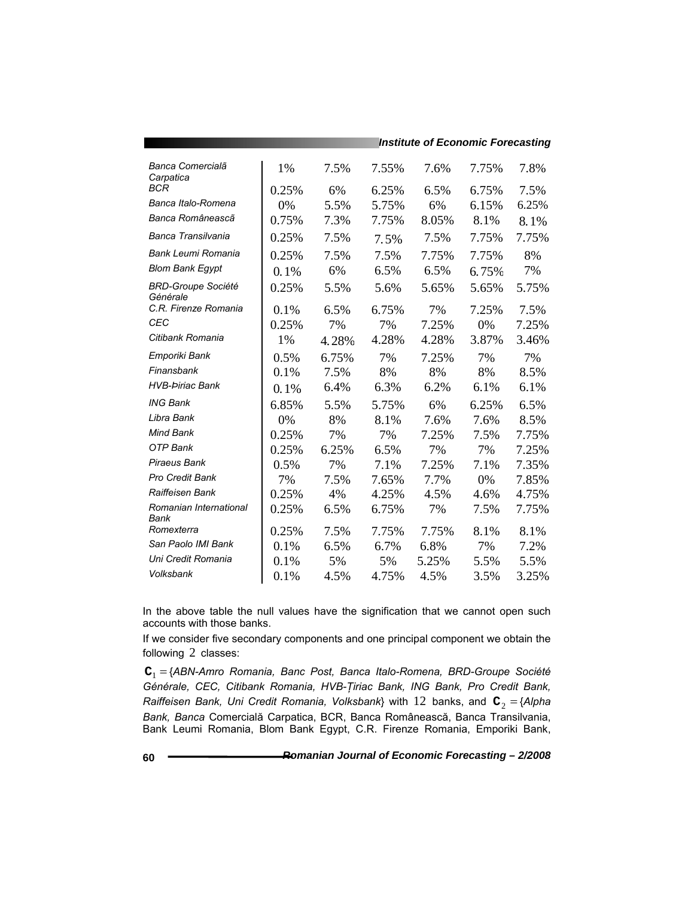|                                       |       |       |       | Institute of Economic Forecasting |       |       |
|---------------------------------------|-------|-------|-------|-----------------------------------|-------|-------|
| Banca Comercialã<br>Carpatica         | 1%    | 7.5%  | 7.55% | 7.6%                              | 7.75% | 7.8%  |
| <b>BCR</b>                            | 0.25% | 6%    | 6.25% | 6.5%                              | 6.75% | 7.5%  |
| Banca Italo-Romena                    | 0%    | 5.5%  | 5.75% | 6%                                | 6.15% | 6.25% |
| Banca Româneascã                      | 0.75% | 7.3%  | 7.75% | 8.05%                             | 8.1%  | 8.1%  |
| Banca Transilvania                    | 0.25% | 7.5%  | 7.5%  | 7.5%                              | 7.75% | 7.75% |
| Bank Leumi Romania                    | 0.25% | 7.5%  | 7.5%  | 7.75%                             | 7.75% | 8%    |
| <b>Blom Bank Egypt</b>                | 0.1%  | 6%    | 6.5%  | 6.5%                              | 6.75% | 7%    |
| <b>BRD-Groupe Société</b><br>Générale | 0.25% | 5.5%  | 5.6%  | 5.65%                             | 5.65% | 5.75% |
| C.R. Firenze Romania                  | 0.1%  | 6.5%  | 6.75% | 7%                                | 7.25% | 7.5%  |
| <b>CEC</b>                            | 0.25% | 7%    | 7%    | 7.25%                             | 0%    | 7.25% |
| Citibank Romania                      | 1%    | 4.28% | 4.28% | 4.28%                             | 3.87% | 3.46% |
| Emporiki Bank                         | 0.5%  | 6.75% | 7%    | 7.25%                             | 7%    | 7%    |
| Finansbank                            | 0.1%  | 7.5%  | 8%    | 8%                                | 8%    | 8.5%  |
| <b>HVB-Þiriac Bank</b>                | 0.1%  | 6.4%  | 6.3%  | 6.2%                              | 6.1%  | 6.1%  |
| <b>ING Bank</b>                       | 6.85% | 5.5%  | 5.75% | 6%                                | 6.25% | 6.5%  |
| Libra Bank                            | 0%    | 8%    | 8.1%  | 7.6%                              | 7.6%  | 8.5%  |
| Mind Bank                             | 0.25% | 7%    | 7%    | 7.25%                             | 7.5%  | 7.75% |
| OTP Bank                              | 0.25% | 6.25% | 6.5%  | 7%                                | 7%    | 7.25% |
| Piraeus Bank                          | 0.5%  | 7%    | 7.1%  | 7.25%                             | 7.1%  | 7.35% |
| <b>Pro Credit Bank</b>                | 7%    | 7.5%  | 7.65% | 7.7%                              | 0%    | 7.85% |
| Raiffeisen Bank                       | 0.25% | 4%    | 4.25% | 4.5%                              | 4.6%  | 4.75% |
| Romanian International<br>Bank        | 0.25% | 6.5%  | 6.75% | 7%                                | 7.5%  | 7.75% |
| Romexterra                            | 0.25% | 7.5%  | 7.75% | 7.75%                             | 8.1%  | 8.1%  |
| San Paolo IMI Bank                    | 0.1%  | 6.5%  | 6.7%  | 6.8%                              | 7%    | 7.2%  |
| Uni Credit Romania                    | 0.1%  | 5%    | 5%    | 5.25%                             | 5.5%  | 5.5%  |
| Volksbank                             | 0.1%  | 4.5%  | 4.75% | 4.5%                              | 3.5%  | 3.25% |

*Institute of Economic Forecasting*

In the above table the null values have the signification that we cannot open such accounts with those banks.

If we consider five secondary components and one principal component we obtain the following 2 classes:

**C**<sup>1</sup> = {*ABN-Amro Romania, Banc Post, Banca Italo-Romena, BRD-Groupe Société Générale, CEC, Citibank Romania, HVB-Ţiriac Bank, ING Bank, Pro Credit Bank, Raiffeisen Bank, Uni Credit Romania, Volksbank*} with 12 banks, and  $C_2 = \{Alpha$ *Bank, Banca* Comercială Carpatica, BCR, Banca Românească, Banca Transilvania, Bank Leumi Romania, Blom Bank Egypt, C.R. Firenze Romania, Emporiki Bank,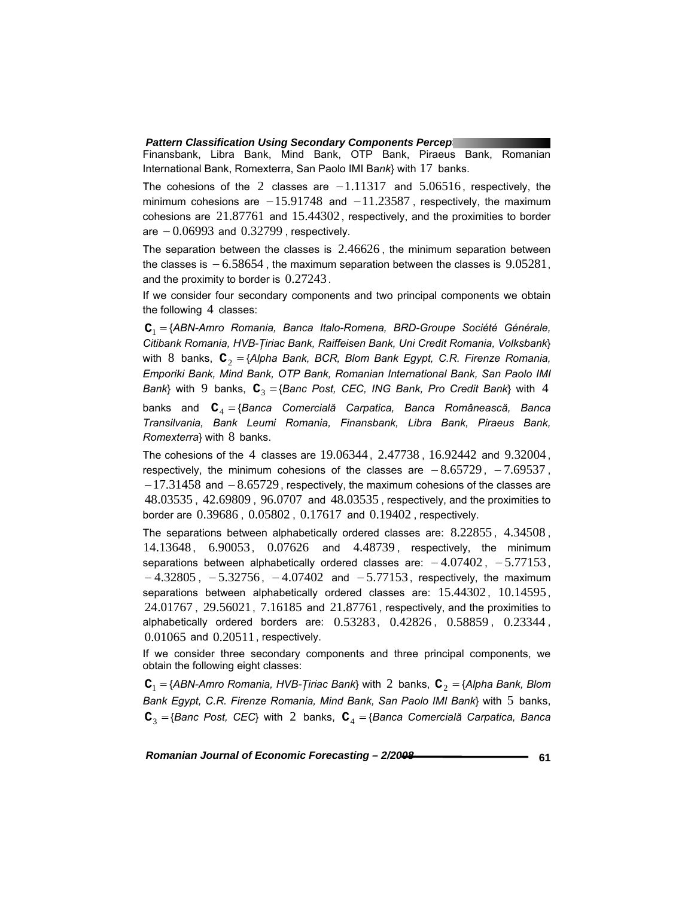Finansbank, Libra Bank, Mind Bank, OTP Bank, Piraeus Bank, Romanian International Bank, Romexterra, San Paolo IMI Ba*nk*} with 17 banks.

The cohesions of the 2 classes are  $-1.11317$  and  $5.06516$ , respectively, the minimum cohesions are  $-15.91748$  and  $-11.23587$ , respectively, the maximum cohesions are 21.87761 and 15.44302 , respectively, and the proximities to border are  $-0.06993$  and  $0.32799$ , respectively.

The separation between the classes is  $2.46626$ , the minimum separation between the classes is  $-6.58654$ , the maximum separation between the classes is  $9.05281$ , and the proximity to border is 0.27243.

If we consider four secondary components and two principal components we obtain the following 4 classes:

**C**<sup>1</sup> = {*ABN-Amro Romania, Banca Italo-Romena, BRD-Groupe Société Générale, Citibank Romania, HVB-Ţiriac Bank, Raiffeisen Bank, Uni Credit Romania, Volksbank*} with 8 banks,  $\mathbf{C}_2 = \{ \text{Alpha Bank, BCR, Blom Bank Egypt, C.R. Firenze Romania, \}$ *Emporiki Bank, Mind Bank, OTP Bank, Romanian International Bank, San Paolo IMI Bank*} with 9 banks,  $C_3 = \{$ *Banc Post, CEC, ING Bank, Pro Credit Bank*} with 4

banks and **C**<sup>4</sup> = {*Banca Comercială Carpatica, Banca Românească, Banca Transilvania, Bank Leumi Romania, Finansbank, Libra Bank, Piraeus Bank, Romexterra*} with 8 banks.

The cohesions of the 4 classes are 19.06344 , 2.47738 , 16.92442 and 9.32004 , respectively, the minimum cohesions of the classes are  $-8.65729$ ,  $-7.69537$ , −17.31458 and − 8.65729 , respectively, the maximum cohesions of the classes are 48.03535 , 42.69809 , 96.0707 and 48.03535 , respectively, and the proximities to border are 0.39686 , 0.05802 , 0.17617 and 0.19402 , respectively.

The separations between alphabetically ordered classes are: 8.22855 , 4.34508 , 14.13648 , 6.90053, 0.07626 and 4.48739 , respectively, the minimum separations between alphabetically ordered classes are:  $-4.07402$ ,  $-5.77153$ ,  $-4.32805$ ,  $-5.32756$ ,  $-4.07402$  and  $-5.77153$ , respectively, the maximum separations between alphabetically ordered classes are: 15.44302, 10.14595, 24.01767 , 29.56021, 7.16185 and 21.87761, respectively, and the proximities to alphabetically ordered borders are: 0.53283, 0.42826 , 0.58859 , 0.23344 , 0.01065 and 0.20511, respectively.

If we consider three secondary components and three principal components, we obtain the following eight classes:

 $C_1 = \{ABN-Am$ ro Romania, HVB-*Țiriac Bank*} with 2 banks,  $C_2 = \{AlphaBN, Blom$ *Bank Egypt, C.R. Firenze Romania, Mind Bank, San Paolo IMI Bank*} with 5 banks,  $C_3 = \{ \text{Banc Post}, \text{ CEC} \}$  with 2 banks,  $C_4 = \{ \text{Banca Comercială Carpatica}, \text{Banca} \}$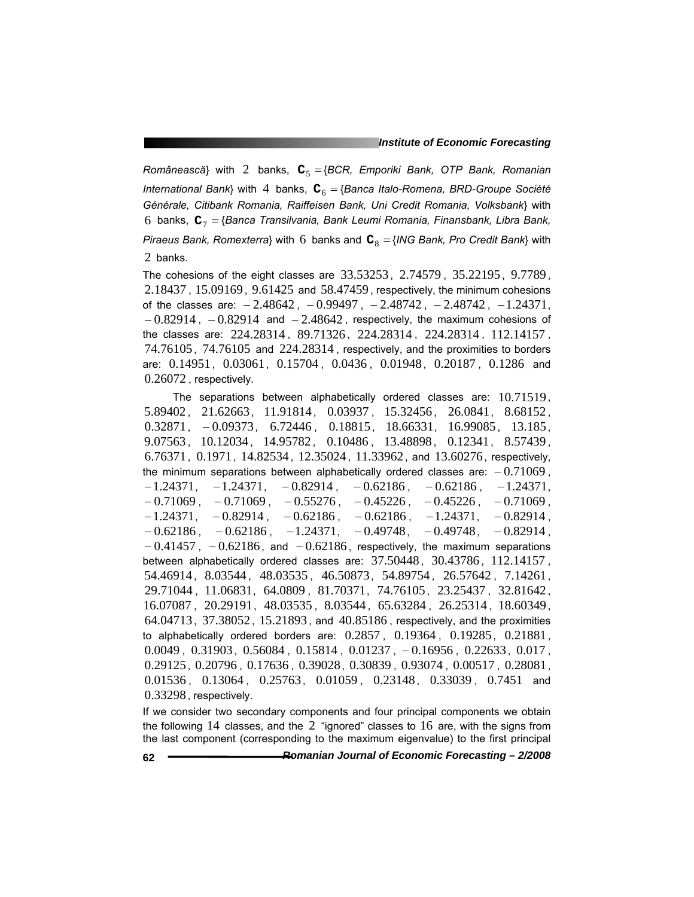*Românească*} with 2 banks, **C**<sup>5</sup> ={*BCR, Emporiki Bank, OTP Bank, Romanian International Bank*} with 4 banks,  $C_6 = \{$ Banca Italo-Romena, BRD-Groupe Société *Générale, Citibank Romania, Raiffeisen Bank, Uni Credit Romania, Volksbank*} with 6 banks, **C**<sup>7</sup> = {*Banca Transilvania, Bank Leumi Romania, Finansbank, Libra Bank, Piraeus Bank, Romexterra*} with 6 banks and  $C_8 = \{ING Bank, Pro Credit Bank\}$  with 2 banks.

The cohesions of the eight classes are 33.53253 , 2.74579 , 35.22195 , 9.7789 , 2.18437 , 15.09169 , 9.61425 and 58.47459 , respectively, the minimum cohesions of the classes are:  $-2.48642$ ,  $-0.99497$ ,  $-2.48742$ ,  $-2.48742$ ,  $-1.24371$ ,  $-0.82914$ ,  $-0.82914$  and  $-2.48642$ , respectively, the maximum cohesions of the classes are: 224.28314 , 89.71326 , 224.28314 , 224.28314 , 112.14157 , 74.76105, 74.76105 and 224.28314 , respectively, and the proximities to borders are: 0.14951, 0.03061, 0.15704 , 0.0436 , 0.01948, 0.20187 , 0.1286 and 0.26072 , respectively.

The separations between alphabetically ordered classes are: 10.71519, 5.89402, 21.62663, 11.91814, 0.03937, 15.32456, 26.0841, 8.68152, 0.32871, − 0.09373, 6.72446 , 0.18815, 18.66331, 16.99085 , 13.185 , 9.07563, 10.12034, 14.95782, 0.10486, 13.48898, 0.12341, 8.57439, 6.76371, 0.1971, 14.82534, 12.35024, 11.33962, and 13.60276, respectively, the minimum separations between alphabetically ordered classes are:  $-0.71069$ ,  $-1.24371$ ,  $-1.24371$ ,  $-0.82914$ ,  $-0.62186$ ,  $-0.62186$ ,  $-1.24371$ ,  $-0.71069$ ,  $-0.71069$ ,  $-0.55276$ ,  $-0.45226$ ,  $-0.45226$ ,  $-0.71069$ ,  $-1.24371, -0.82914, -0.62186, -0.62186, -1.24371, -0.82914,$  $-0.62186$ ,  $-0.62186$ ,  $-1.24371$ ,  $-0.49748$ ,  $-0.49748$ ,  $-0.82914$ ,  $-0.41457$ ,  $-0.62186$ , and  $-0.62186$ , respectively, the maximum separations between alphabetically ordered classes are: 37.50448 , 30.43786 , 112.14157 , 54.46914 , 8.03544 , 48.03535 , 46.50873, 54.89754 , 26.57642 , 7.14261, 29.71044 , 11.06831, 64.0809 , 81.70371, 74.76105, 23.25437 , 32.81642 , 16.07087 , 20.29191, 48.03535 , 8.03544 , 65.63284 , 26.25314 , 18.60349, 64.04713, 37.38052 , 15.21893 , and 40.85186 , respectively, and the proximities to alphabetically ordered borders are: 0.2857 , 0.19364 , 0.19285, 0.21881, 0.0049 , 0.31903, 0.56084 , 0.15814 , 0.01237 , − 0.16956 , 0.22633, 0.017 , 0.29125, 0.20796 , 0.17636 , 0.39028, 0.30839 , 0.93074 , 0.00517 , 0.28081, 0.01536, 0.13064, 0.25763, 0.01059, 0.23148, 0.33039, 0.7451 and 0.33298, respectively.

If we consider two secondary components and four principal components we obtain the following 14 classes, and the 2 "ignored" classes to 16 are, with the signs from the last component (corresponding to the maximum eigenvalue) to the first principal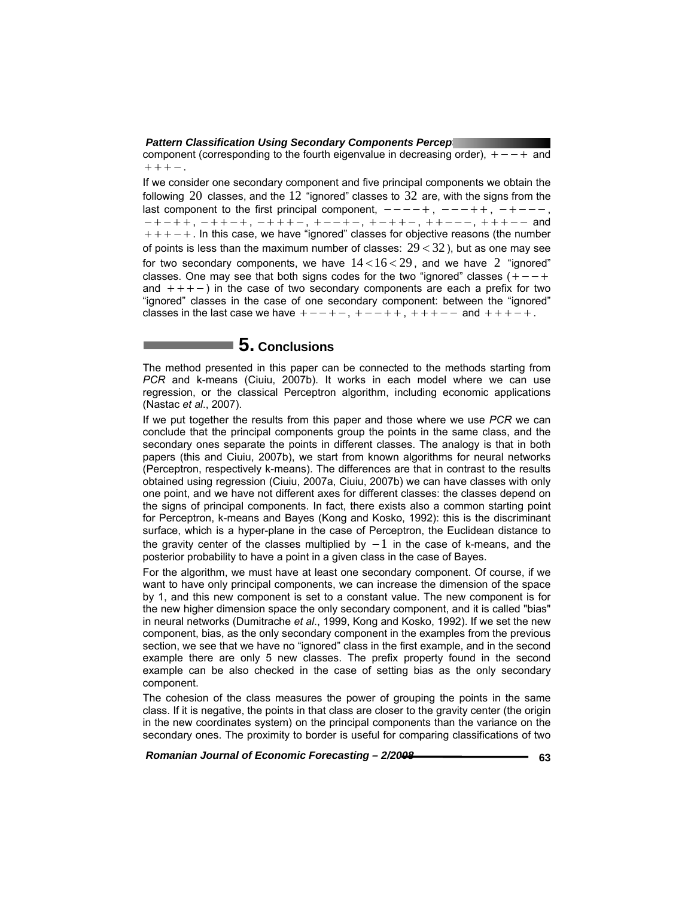component (corresponding to the fourth eigenvalue in decreasing order),  $+ - - +$  and  $+ + + -$ .

If we consider one secondary component and five principal components we obtain the following 20 classes, and the 12 "ignored" classes to 32 are, with the signs from the last component to the first principal component,  $--- +$ ,  $--- + +$ ,  $-+ - -$ , − + − + + , − + + − + , − + + + − , + − − + − , + − + + − , + + − − − , + + + − − and + + + − + . In this case, we have "ignored" classes for objective reasons (the number of points is less than the maximum number of classes:  $29 < 32$ ), but as one may see for two secondary components, we have  $14 < 16 < 29$ , and we have 2 "ignored" classes. One may see that both signs codes for the two "ignored" classes  $( + - - +$ and  $++-$ ) in the case of two secondary components are each a prefix for two "ignored" classes in the case of one secondary component: between the "ignored" classes in the last case we have  $+ - - + -$ ,  $+ - - + +$ ,  $+ + - -$  and  $+ + + - +$ .

# **5. Conclusions**

The method presented in this paper can be connected to the methods starting from *PCR* and k-means (Ciuiu, 2007b). It works in each model where we can use regression, or the classical Perceptron algorithm, including economic applications (Nastac *et al*., 2007).

If we put together the results from this paper and those where we use *PCR* we can conclude that the principal components group the points in the same class, and the secondary ones separate the points in different classes. The analogy is that in both papers (this and Ciuiu, 2007b), we start from known algorithms for neural networks (Perceptron, respectively k-means). The differences are that in contrast to the results obtained using regression (Ciuiu, 2007a, Ciuiu, 2007b) we can have classes with only one point, and we have not different axes for different classes: the classes depend on the signs of principal components. In fact, there exists also a common starting point for Perceptron, k-means and Bayes (Kong and Kosko, 1992): this is the discriminant surface, which is a hyper-plane in the case of Perceptron, the Euclidean distance to the gravity center of the classes multiplied by  $-1$  in the case of k-means, and the posterior probability to have a point in a given class in the case of Bayes.

For the algorithm, we must have at least one secondary component. Of course, if we want to have only principal components, we can increase the dimension of the space by 1, and this new component is set to a constant value. The new component is for the new higher dimension space the only secondary component, and it is called "bias" in neural networks (Dumitrache *et al*., 1999, Kong and Kosko, 1992). If we set the new component, bias, as the only secondary component in the examples from the previous section, we see that we have no "ignored" class in the first example, and in the second example there are only 5 new classes. The prefix property found in the second example can be also checked in the case of setting bias as the only secondary component.

The cohesion of the class measures the power of grouping the points in the same class. If it is negative, the points in that class are closer to the gravity center (the origin in the new coordinates system) on the principal components than the variance on the secondary ones. The proximity to border is useful for comparing classifications of two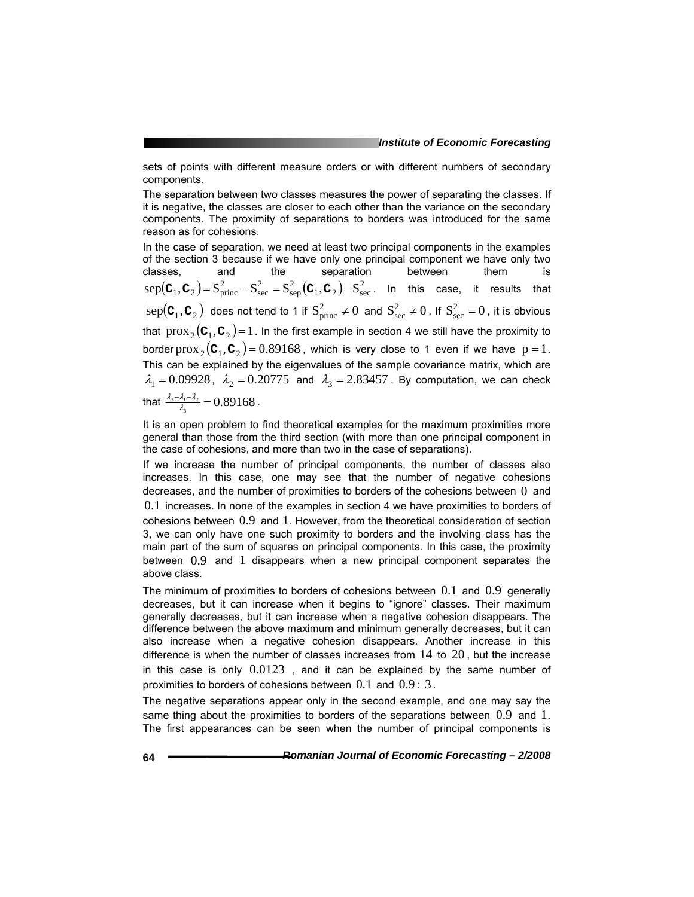sets of points with different measure orders or with different numbers of secondary components.

The separation between two classes measures the power of separating the classes. If it is negative, the classes are closer to each other than the variance on the secondary components. The proximity of separations to borders was introduced for the same reason as for cohesions.

In the case of separation, we need at least two principal components in the examples of the section 3 because if we have only one principal component we have only two classes, and the separation between them is  $\text{sep}(\mathbf{C}_1, \mathbf{C}_2) = \mathbf{S}_{\text{princ}}^2 - \mathbf{S}_{\text{sec}}^2 = \mathbf{S}_{\text{sep}}^2(\mathbf{C}_1, \mathbf{C}_2) - \mathbf{S}_{\text{sec}}^2$ . In this case, it results that  $\text{sep}(\textbf{C}_1,\textbf{C}_2)$  does not tend to 1 if  $S^2_{\text{princ}} \neq 0$  and  $S^2_{\text{sec}} \neq 0$ . If  $S^2_{\text{sec}} = 0$ , it is obvious that  $prox_2(C_1, C_2) = 1$ . In the first example in section 4 we still have the proximity to border prox  $_{2}$ ( $\textbf{C}_{1}$ , $\textbf{C}_{2}$ ) = 0.89168, which is very close to 1 even if we have p = 1. This can be explained by the eigenvalues of the sample covariance matrix, which are  $\lambda_1 = 0.09928$ ,  $\lambda_2 = 0.20775$  and  $\lambda_3 = 2.83457$ . By computation, we can check that  $\frac{\lambda_3 - \lambda_1 - \lambda_2}{\lambda_3} = 0.89168$ .

It is an open problem to find theoretical examples for the maximum proximities more general than those from the third section (with more than one principal component in the case of cohesions, and more than two in the case of separations).

If we increase the number of principal components, the number of classes also increases. In this case, one may see that the number of negative cohesions decreases, and the number of proximities to borders of the cohesions between  $0$  and 0.1 increases. In none of the examples in section 4 we have proximities to borders of cohesions between 0.9 and 1. However, from the theoretical consideration of section 3, we can only have one such proximity to borders and the involving class has the main part of the sum of squares on principal components. In this case, the proximity between 0.9 and 1 disappears when a new principal component separates the above class.

The minimum of proximities to borders of cohesions between 0.1 and 0.9 generally decreases, but it can increase when it begins to "ignore" classes. Their maximum generally decreases, but it can increase when a negative cohesion disappears. The difference between the above maximum and minimum generally decreases, but it can also increase when a negative cohesion disappears. Another increase in this difference is when the number of classes increases from  $14$  to  $20$ , but the increase in this case is only  $0.0123$ , and it can be explained by the same number of proximities to borders of cohesions between  $0.1$  and  $0.9:3$ .

The negative separations appear only in the second example, and one may say the same thing about the proximities to borders of the separations between  $0.9$  and  $1.$ The first appearances can be seen when the number of principal components is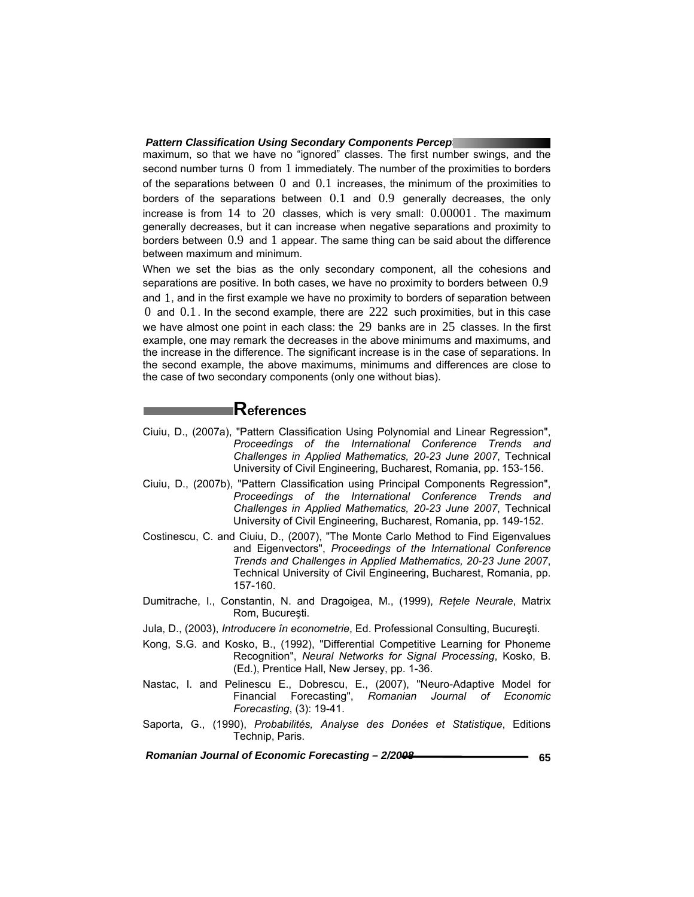maximum, so that we have no "ignored" classes. The first number swings, and the second number turns  $0$  from  $1$  immediately. The number of the proximities to borders of the separations between  $0$  and  $0.1$  increases, the minimum of the proximities to borders of the separations between 0.1 and 0.9 generally decreases, the only increase is from  $14$  to  $20$  classes, which is very small:  $0.00001$ . The maximum generally decreases, but it can increase when negative separations and proximity to borders between 0.9 and 1 appear. The same thing can be said about the difference between maximum and minimum.

When we set the bias as the only secondary component, all the cohesions and separations are positive. In both cases, we have no proximity to borders between 0.9 and 1, and in the first example we have no proximity to borders of separation between  $0$  and  $0.1$ . In the second example, there are  $222$  such proximities, but in this case we have almost one point in each class: the 29 banks are in 25 classes. In the first example, one may remark the decreases in the above minimums and maximums, and the increase in the difference. The significant increase is in the case of separations. In the second example, the above maximums, minimums and differences are close to the case of two secondary components (only one without bias).

## **References**

- Ciuiu, D., (2007a), "Pattern Classification Using Polynomial and Linear Regression", *Proceedings of the International Conference Trends and Challenges in Applied Mathematics, 20-23 June 2007*, Technical University of Civil Engineering, Bucharest, Romania, pp. 153-156.
- Ciuiu, D., (2007b), "Pattern Classification using Principal Components Regression", *Proceedings of the International Conference Trends and Challenges in Applied Mathematics, 20-23 June 2007*, Technical University of Civil Engineering, Bucharest, Romania, pp. 149-152.
- Costinescu, C. and Ciuiu, D., (2007), "The Monte Carlo Method to Find Eigenvalues and Eigenvectors", *Proceedings of the International Conference Trends and Challenges in Applied Mathematics, 20-23 June 2007*, Technical University of Civil Engineering, Bucharest, Romania, pp. 157-160.
- Dumitrache, I., Constantin, N. and Dragoigea, M., (1999), *Reţele Neurale*, Matrix Rom, Bucureşti.
- Jula, D., (2003), *Introducere în econometrie*, Ed. Professional Consulting, Bucureşti.
- Kong, S.G. and Kosko, B., (1992), "Differential Competitive Learning for Phoneme Recognition", *Neural Networks for Signal Processing*, Kosko, B. (Ed.), Prentice Hall, New Jersey, pp. 1-36.
- Nastac, I. and Pelinescu E., Dobrescu, E., (2007), "Neuro-Adaptive Model for Financial Forecasting", *Romanian Journal of Economic Forecasting*, (3): 19-41.
- Saporta, G., (1990), *Probabilités, Analyse des Donées et Statistique*, Editions Technip, Paris.